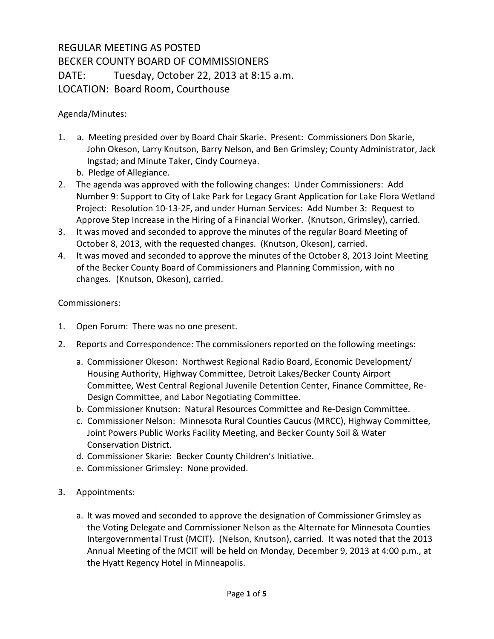## REGULAR MEETING AS POSTED BECKER COUNTY BOARD OF COMMISSIONERS DATE: Tuesday, October 22, 2013 at 8:15 a.m. LOCATION: Board Room, Courthouse

## Agenda/Minutes:

- 1. a. Meeting presided over by Board Chair Skarie. Present: Commissioners Don Skarie, John Okeson, Larry Knutson, Barry Nelson, and Ben Grimsley; County Administrator, Jack Ingstad; and Minute Taker, Cindy Courneya.
	- b. Pledge of Allegiance.
- 2. The agenda was approved with the following changes: Under Commissioners: Add Number 9: Support to City of Lake Park for Legacy Grant Application for Lake Flora Wetland Project: Resolution 10-13-2F, and under Human Services: Add Number 3: Request to Approve Step Increase in the Hiring of a Financial Worker. (Knutson, Grimsley), carried.
- 3. It was moved and seconded to approve the minutes of the regular Board Meeting of October 8, 2013, with the requested changes. (Knutson, Okeson), carried.
- 4. It was moved and seconded to approve the minutes of the October 8, 2013 Joint Meeting of the Becker County Board of Commissioners and Planning Commission, with no changes. (Knutson, Okeson), carried.

## Commissioners:

- 1. Open Forum: There was no one present.
- 2. Reports and Correspondence: The commissioners reported on the following meetings:
	- a. Commissioner Okeson: Northwest Regional Radio Board, Economic Development/ Housing Authority, Highway Committee, Detroit Lakes/Becker County Airport Committee, West Central Regional Juvenile Detention Center, Finance Committee, Re-Design Committee, and Labor Negotiating Committee.
	- b. Commissioner Knutson: Natural Resources Committee and Re-Design Committee.
	- c. Commissioner Nelson: Minnesota Rural Counties Caucus (MRCC), Highway Committee, Joint Powers Public Works Facility Meeting, and Becker County Soil & Water Conservation District.
	- d. Commissioner Skarie: Becker County Children's Initiative.
	- e. Commissioner Grimsley: None provided.
- 3. Appointments:
	- a. It was moved and seconded to approve the designation of Commissioner Grimsley as the Voting Delegate and Commissioner Nelson as the Alternate for Minnesota Counties Intergovernmental Trust (MCIT). (Nelson, Knutson), carried. It was noted that the 2013 Annual Meeting of the MCIT will be held on Monday, December 9, 2013 at 4:00 p.m., at the Hyatt Regency Hotel in Minneapolis.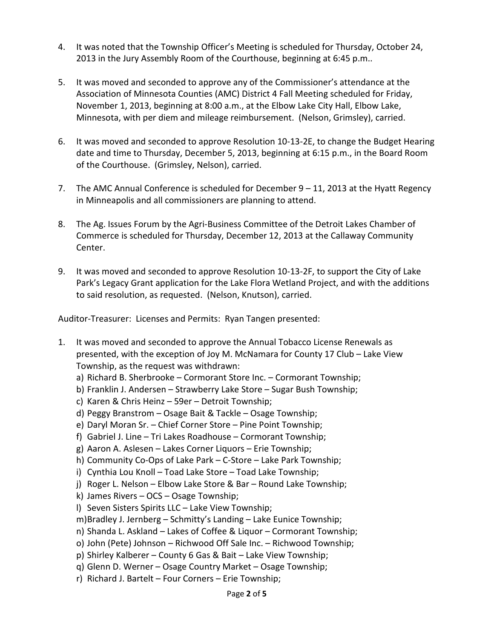- 4. It was noted that the Township Officer's Meeting is scheduled for Thursday, October 24, 2013 in the Jury Assembly Room of the Courthouse, beginning at 6:45 p.m..
- 5. It was moved and seconded to approve any of the Commissioner's attendance at the Association of Minnesota Counties (AMC) District 4 Fall Meeting scheduled for Friday, November 1, 2013, beginning at 8:00 a.m., at the Elbow Lake City Hall, Elbow Lake, Minnesota, with per diem and mileage reimbursement. (Nelson, Grimsley), carried.
- 6. It was moved and seconded to approve Resolution 10-13-2E, to change the Budget Hearing date and time to Thursday, December 5, 2013, beginning at 6:15 p.m., in the Board Room of the Courthouse. (Grimsley, Nelson), carried.
- 7. The AMC Annual Conference is scheduled for December  $9 11$ , 2013 at the Hyatt Regency in Minneapolis and all commissioners are planning to attend.
- 8. The Ag. Issues Forum by the Agri-Business Committee of the Detroit Lakes Chamber of Commerce is scheduled for Thursday, December 12, 2013 at the Callaway Community Center.
- 9. It was moved and seconded to approve Resolution 10-13-2F, to support the City of Lake Park's Legacy Grant application for the Lake Flora Wetland Project, and with the additions to said resolution, as requested. (Nelson, Knutson), carried.

Auditor-Treasurer: Licenses and Permits: Ryan Tangen presented:

- 1. It was moved and seconded to approve the Annual Tobacco License Renewals as presented, with the exception of Joy M. McNamara for County 17 Club – Lake View Township, as the request was withdrawn:
	- a) Richard B. Sherbrooke Cormorant Store Inc. Cormorant Township;
	- b) Franklin J. Andersen Strawberry Lake Store Sugar Bush Township;
	- c) Karen & Chris Heinz 59er Detroit Township;
	- d) Peggy Branstrom Osage Bait & Tackle Osage Township;
	- e) Daryl Moran Sr. Chief Corner Store Pine Point Township;
	- f) Gabriel J. Line Tri Lakes Roadhouse Cormorant Township;
	- g) Aaron A. Aslesen Lakes Corner Liquors Erie Township;
	- h) Community Co-Ops of Lake Park C-Store Lake Park Township;
	- i) Cynthia Lou Knoll Toad Lake Store Toad Lake Township;
	- j) Roger L. Nelson Elbow Lake Store & Bar Round Lake Township;
	- k) James Rivers OCS Osage Township;
	- l) Seven Sisters Spirits LLC Lake View Township;
	- m)Bradley J. Jernberg Schmitty's Landing Lake Eunice Township;
	- n) Shanda L. Askland Lakes of Coffee & Liquor Cormorant Township;
	- o) John (Pete) Johnson Richwood Off Sale Inc. Richwood Township;
	- p) Shirley Kalberer County 6 Gas & Bait Lake View Township;
	- q) Glenn D. Werner Osage Country Market Osage Township;
	- r) Richard J. Bartelt Four Corners Erie Township;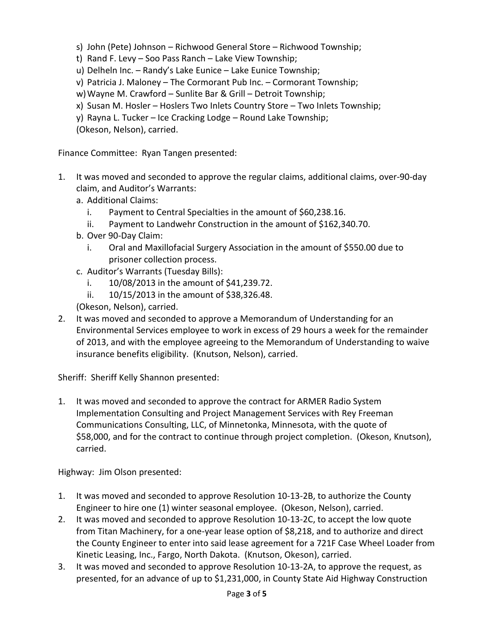- s) John (Pete) Johnson Richwood General Store Richwood Township;
- t) Rand F. Levy Soo Pass Ranch Lake View Township;
- u) Delheln Inc. Randy's Lake Eunice Lake Eunice Township;
- v) Patricia J. Maloney The Cormorant Pub Inc. Cormorant Township;
- w)Wayne M. Crawford Sunlite Bar & Grill Detroit Township;
- x) Susan M. Hosler Hoslers Two Inlets Country Store Two Inlets Township;
- y) Rayna L. Tucker Ice Cracking Lodge Round Lake Township;
- (Okeson, Nelson), carried.

Finance Committee: Ryan Tangen presented:

- 1. It was moved and seconded to approve the regular claims, additional claims, over-90-day claim, and Auditor's Warrants:
	- a. Additional Claims:
		- i. Payment to Central Specialties in the amount of \$60,238.16.
		- ii. Payment to Landwehr Construction in the amount of \$162,340.70.
	- b. Over 90-Day Claim:
		- i. Oral and Maxillofacial Surgery Association in the amount of \$550.00 due to prisoner collection process.
	- c. Auditor's Warrants (Tuesday Bills):
		- i. 10/08/2013 in the amount of \$41,239.72.
		- ii. 10/15/2013 in the amount of \$38,326.48.
	- (Okeson, Nelson), carried.
- 2. It was moved and seconded to approve a Memorandum of Understanding for an Environmental Services employee to work in excess of 29 hours a week for the remainder of 2013, and with the employee agreeing to the Memorandum of Understanding to waive insurance benefits eligibility. (Knutson, Nelson), carried.

Sheriff: Sheriff Kelly Shannon presented:

1. It was moved and seconded to approve the contract for ARMER Radio System Implementation Consulting and Project Management Services with Rey Freeman Communications Consulting, LLC, of Minnetonka, Minnesota, with the quote of \$58,000, and for the contract to continue through project completion. (Okeson, Knutson), carried.

Highway: Jim Olson presented:

- 1. It was moved and seconded to approve Resolution 10-13-2B, to authorize the County Engineer to hire one (1) winter seasonal employee. (Okeson, Nelson), carried.
- 2. It was moved and seconded to approve Resolution 10-13-2C, to accept the low quote from Titan Machinery, for a one-year lease option of \$8,218, and to authorize and direct the County Engineer to enter into said lease agreement for a 721F Case Wheel Loader from Kinetic Leasing, Inc., Fargo, North Dakota. (Knutson, Okeson), carried.
- 3. It was moved and seconded to approve Resolution 10-13-2A, to approve the request, as presented, for an advance of up to \$1,231,000, in County State Aid Highway Construction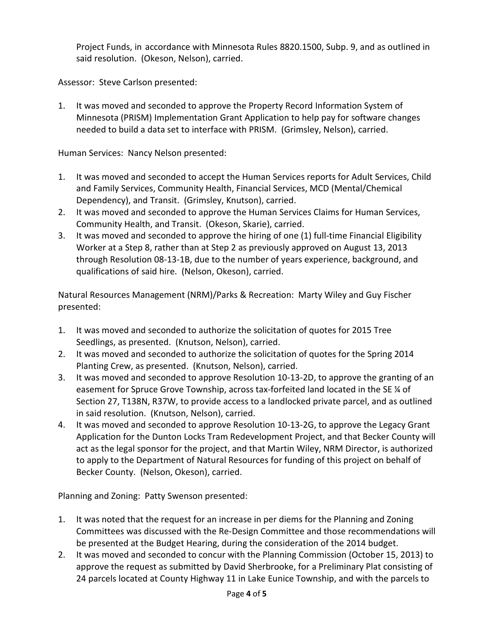Project Funds, in accordance with Minnesota Rules 8820.1500, Subp. 9, and as outlined in said resolution. (Okeson, Nelson), carried.

Assessor: Steve Carlson presented:

1. It was moved and seconded to approve the Property Record Information System of Minnesota (PRISM) Implementation Grant Application to help pay for software changes needed to build a data set to interface with PRISM. (Grimsley, Nelson), carried.

Human Services: Nancy Nelson presented:

- 1. It was moved and seconded to accept the Human Services reports for Adult Services, Child and Family Services, Community Health, Financial Services, MCD (Mental/Chemical Dependency), and Transit. (Grimsley, Knutson), carried.
- 2. It was moved and seconded to approve the Human Services Claims for Human Services, Community Health, and Transit. (Okeson, Skarie), carried.
- 3. It was moved and seconded to approve the hiring of one (1) full-time Financial Eligibility Worker at a Step 8, rather than at Step 2 as previously approved on August 13, 2013 through Resolution 08-13-1B, due to the number of years experience, background, and qualifications of said hire. (Nelson, Okeson), carried.

Natural Resources Management (NRM)/Parks & Recreation: Marty Wiley and Guy Fischer presented:

- 1. It was moved and seconded to authorize the solicitation of quotes for 2015 Tree Seedlings, as presented. (Knutson, Nelson), carried.
- 2. It was moved and seconded to authorize the solicitation of quotes for the Spring 2014 Planting Crew, as presented. (Knutson, Nelson), carried.
- 3. It was moved and seconded to approve Resolution 10-13-2D, to approve the granting of an easement for Spruce Grove Township, across tax-forfeited land located in the SE ¼ of Section 27, T138N, R37W, to provide access to a landlocked private parcel, and as outlined in said resolution. (Knutson, Nelson), carried.
- 4. It was moved and seconded to approve Resolution 10-13-2G, to approve the Legacy Grant Application for the Dunton Locks Tram Redevelopment Project, and that Becker County will act as the legal sponsor for the project, and that Martin Wiley, NRM Director, is authorized to apply to the Department of Natural Resources for funding of this project on behalf of Becker County. (Nelson, Okeson), carried.

Planning and Zoning: Patty Swenson presented:

- 1. It was noted that the request for an increase in per diems for the Planning and Zoning Committees was discussed with the Re-Design Committee and those recommendations will be presented at the Budget Hearing, during the consideration of the 2014 budget.
- 2. It was moved and seconded to concur with the Planning Commission (October 15, 2013) to approve the request as submitted by David Sherbrooke, for a Preliminary Plat consisting of 24 parcels located at County Highway 11 in Lake Eunice Township, and with the parcels to